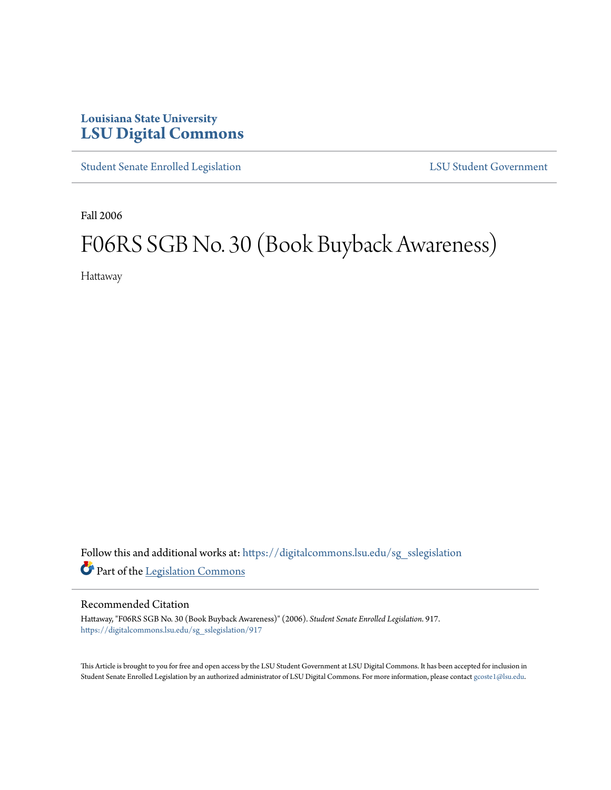## **Louisiana State University [LSU Digital Commons](https://digitalcommons.lsu.edu?utm_source=digitalcommons.lsu.edu%2Fsg_sslegislation%2F917&utm_medium=PDF&utm_campaign=PDFCoverPages)**

[Student Senate Enrolled Legislation](https://digitalcommons.lsu.edu/sg_sslegislation?utm_source=digitalcommons.lsu.edu%2Fsg_sslegislation%2F917&utm_medium=PDF&utm_campaign=PDFCoverPages) [LSU Student Government](https://digitalcommons.lsu.edu/sg?utm_source=digitalcommons.lsu.edu%2Fsg_sslegislation%2F917&utm_medium=PDF&utm_campaign=PDFCoverPages)

Fall 2006

## F06RS SGB No. 30 (Book Buyback Awareness)

Hattaway

Follow this and additional works at: [https://digitalcommons.lsu.edu/sg\\_sslegislation](https://digitalcommons.lsu.edu/sg_sslegislation?utm_source=digitalcommons.lsu.edu%2Fsg_sslegislation%2F917&utm_medium=PDF&utm_campaign=PDFCoverPages) Part of the [Legislation Commons](http://network.bepress.com/hgg/discipline/859?utm_source=digitalcommons.lsu.edu%2Fsg_sslegislation%2F917&utm_medium=PDF&utm_campaign=PDFCoverPages)

## Recommended Citation

Hattaway, "F06RS SGB No. 30 (Book Buyback Awareness)" (2006). *Student Senate Enrolled Legislation*. 917. [https://digitalcommons.lsu.edu/sg\\_sslegislation/917](https://digitalcommons.lsu.edu/sg_sslegislation/917?utm_source=digitalcommons.lsu.edu%2Fsg_sslegislation%2F917&utm_medium=PDF&utm_campaign=PDFCoverPages)

This Article is brought to you for free and open access by the LSU Student Government at LSU Digital Commons. It has been accepted for inclusion in Student Senate Enrolled Legislation by an authorized administrator of LSU Digital Commons. For more information, please contact [gcoste1@lsu.edu.](mailto:gcoste1@lsu.edu)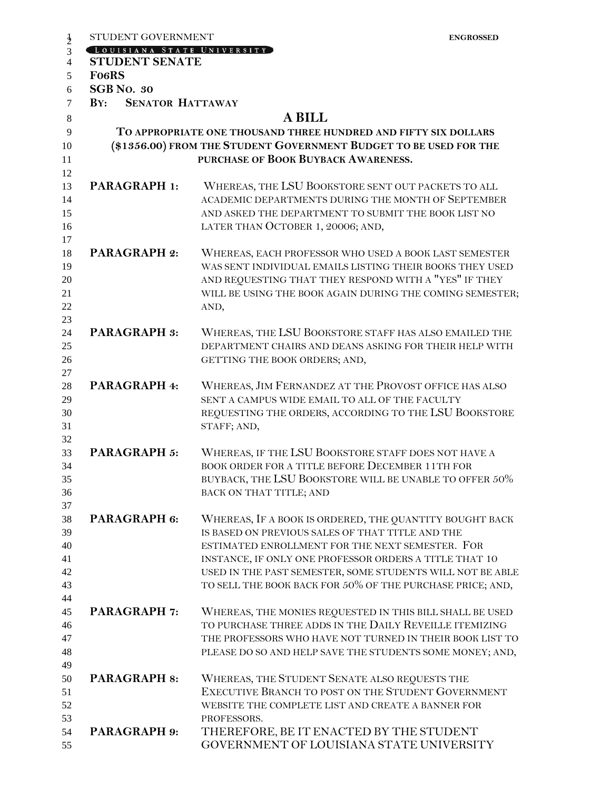|                | STUDENT GOVERNMENT                                                |                                                                 | <b>ENGROSSED</b> |
|----------------|-------------------------------------------------------------------|-----------------------------------------------------------------|------------------|
| $\frac{1}{2}$  | LOUISIANA STATE UNIVERSITY                                        |                                                                 |                  |
| $\overline{4}$ | <b>STUDENT SENATE</b>                                             |                                                                 |                  |
| 5              | <b>FO6RS</b>                                                      |                                                                 |                  |
| 6              | <b>SGB</b> No. 30                                                 |                                                                 |                  |
| 7              | $\mathbf{B} \mathbf{Y}$ :<br><b>SENATOR HATTAWAY</b>              |                                                                 |                  |
| 8              |                                                                   | <b>A BILL</b>                                                   |                  |
| 9              |                                                                   | TO APPROPRIATE ONE THOUSAND THREE HUNDRED AND FIFTY SIX DOLLARS |                  |
| 10             | (\$1356.00) FROM THE STUDENT GOVERNMENT BUDGET TO BE USED FOR THE |                                                                 |                  |
| 11             |                                                                   | PURCHASE OF BOOK BUYBACK AWARENESS.                             |                  |
| 12             |                                                                   |                                                                 |                  |
| 13             | <b>PARAGRAPH 1:</b>                                               | WHEREAS, THE LSU BOOKSTORE SENT OUT PACKETS TO ALL              |                  |
| 14             |                                                                   | ACADEMIC DEPARTMENTS DURING THE MONTH OF SEPTEMBER              |                  |
| 15             |                                                                   | AND ASKED THE DEPARTMENT TO SUBMIT THE BOOK LIST NO             |                  |
| 16             |                                                                   | LATER THAN OCTOBER 1, 20006; AND,                               |                  |
| 17             |                                                                   |                                                                 |                  |
| 18             | <b>PARAGRAPH 2:</b>                                               | WHEREAS, EACH PROFESSOR WHO USED A BOOK LAST SEMESTER           |                  |
| 19             |                                                                   | WAS SENT INDIVIDUAL EMAILS LISTING THEIR BOOKS THEY USED        |                  |
| 20             |                                                                   | AND REQUESTING THAT THEY RESPOND WITH A "YES" IF THEY           |                  |
| 21             |                                                                   | WILL BE USING THE BOOK AGAIN DURING THE COMING SEMESTER;        |                  |
| 22             |                                                                   | AND,                                                            |                  |
| 23             |                                                                   |                                                                 |                  |
| 24             | <b>PARAGRAPH 3:</b>                                               | WHEREAS, THE LSU BOOKSTORE STAFF HAS ALSO EMAILED THE           |                  |
| 25             |                                                                   | DEPARTMENT CHAIRS AND DEANS ASKING FOR THEIR HELP WITH          |                  |
| 26             |                                                                   | GETTING THE BOOK ORDERS; AND,                                   |                  |
| 27             |                                                                   |                                                                 |                  |
| 28             | <b>PARAGRAPH 4:</b>                                               | WHEREAS, JIM FERNANDEZ AT THE PROVOST OFFICE HAS ALSO           |                  |
| 29             |                                                                   | SENT A CAMPUS WIDE EMAIL TO ALL OF THE FACULTY                  |                  |
| 30             |                                                                   | REQUESTING THE ORDERS, ACCORDING TO THE LSU BOOKSTORE           |                  |
| 31             |                                                                   | STAFF; AND,                                                     |                  |
| 32             |                                                                   |                                                                 |                  |
| 33             | <b>PARAGRAPH 5:</b>                                               | WHEREAS, IF THE LSU BOOKSTORE STAFF DOES NOT HAVE A             |                  |
| 34             |                                                                   | BOOK ORDER FOR A TITLE BEFORE DECEMBER 11TH FOR                 |                  |
| 35             |                                                                   | BUYBACK, THE LSU BOOKSTORE WILL BE UNABLE TO OFFER 50%          |                  |
| 36             |                                                                   | BACK ON THAT TITLE; AND                                         |                  |
| 37             |                                                                   |                                                                 |                  |
| 38             | PARAGRAPH 6:                                                      | WHEREAS, IF A BOOK IS ORDERED, THE QUANTITY BOUGHT BACK         |                  |
| 39             |                                                                   | IS BASED ON PREVIOUS SALES OF THAT TITLE AND THE                |                  |
| 40             |                                                                   | ESTIMATED ENROLLMENT FOR THE NEXT SEMESTER. FOR                 |                  |
| 41             |                                                                   | INSTANCE, IF ONLY ONE PROFESSOR ORDERS A TITLE THAT 10          |                  |
| 42             |                                                                   | USED IN THE PAST SEMESTER, SOME STUDENTS WILL NOT BE ABLE       |                  |
| 43             |                                                                   | TO SELL THE BOOK BACK FOR 50% OF THE PURCHASE PRICE; AND,       |                  |
| 44             |                                                                   |                                                                 |                  |
| 45             | <b>PARAGRAPH 7:</b>                                               | WHEREAS, THE MONIES REQUESTED IN THIS BILL SHALL BE USED        |                  |
| 46             |                                                                   | TO PURCHASE THREE ADDS IN THE DAILY REVEILLE ITEMIZING          |                  |
| 47             |                                                                   | THE PROFESSORS WHO HAVE NOT TURNED IN THEIR BOOK LIST TO        |                  |
| 48             |                                                                   | PLEASE DO SO AND HELP SAVE THE STUDENTS SOME MONEY; AND,        |                  |
| 49             |                                                                   |                                                                 |                  |
| 50             | <b>PARAGRAPH 8:</b>                                               | WHEREAS, THE STUDENT SENATE ALSO REQUESTS THE                   |                  |
| 51             |                                                                   | EXECUTIVE BRANCH TO POST ON THE STUDENT GOVERNMENT              |                  |
| 52             |                                                                   | WEBSITE THE COMPLETE LIST AND CREATE A BANNER FOR               |                  |
| 53             |                                                                   | PROFESSORS.                                                     |                  |
| 54             | <b>PARAGRAPH 9:</b>                                               | THEREFORE, BE IT ENACTED BY THE STUDENT                         |                  |
| 55             |                                                                   | GOVERNMENT OF LOUISIANA STATE UNIVERSITY                        |                  |